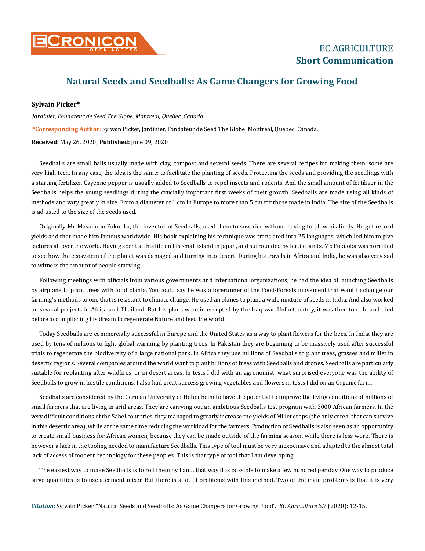

**Short Communication**

## **Natural Seeds and Seedballs: As Game Changers for Growing Food**

## **Sylvain Picker\***

*Jardinier, Fondateur de Seed The Globe, Montreal, Quebec, Canada*

**\*Corresponding Author**: Sylvain Picker, Jardinier, Fondateur de Seed The Globe, Montreal, Quebec, Canada.

**Received:** May 26, 2020; **Published:** June 09, 2020

Seedballs are small balls usually made with clay, compost and several seeds. There are several recipes for making them, some are very high tech. In any case, the idea is the same: to facilitate the planting of seeds. Protecting the seeds and providing the seedlings with a starting fertilizer. Cayenne pepper is usually added to Seedballs to repel insects and rodents. And the small amount of fertilizer in the Seedballs helps the young seedlings during the crucially important first weeks of their growth. Seedballs are made using all kinds of methods and vary greatly in size. From a diameter of 1 cm in Europe to more than 5 cm for those made in India. The size of the Seedballs is adjusted to the size of the seeds used.

Originally Mr. Masanobu Fukuoka, the inventor of Seedballs, used them to sow rice without having to plow his fields. He got record yields and that made him famous worldwide. His book explaining his technique was translated into 25 languages, which led him to give lectures all over the world. Having spent all his life on his small island in Japan, and surrounded by fertile lands, Mr. Fukuoka was horrified to see how the ecosystem of the planet was damaged and turning into desert. During his travels in Africa and India, he was also very sad to witness the amount of people starving.

Following meetings with officials from various governments and international organizations, he had the idea of launching Seedballs by airplane to plant trees with food plants. You could say he was a forerunner of the Food-Forests movement that want to change our farming's methods to one that is resistant to climate change. He used airplanes to plant a wide mixture of seeds in India. And also worked on several projects in Africa and Thailand. But his plans were interrupted by the Iraq war. Unfortunately, it was then too old and died before accomplishing his dream to regenerate Nature and feed the world.

Today Seedballs are commercially successful in Europe and the United States as a way to plant flowers for the bees. In India they are used by tens of millions to fight global warming by planting trees. In Pakistan they are beginning to be massively used after successful trials to regenerate the biodiversity of a large national park. In Africa they use millions of Seedballs to plant trees, grasses and millet in desertic regions. Several companies around the world want to plant billions of trees with Seedballs and drones. Seedballs are particularly suitable for replanting after wildfires, or in desert areas. In tests I did with an agronomist, what surprised everyone was the ability of Seedballs to grow in hostile conditions. I also had great success growing vegetables and flowers in tests I did on an Organic farm.

Seedballs are considered by the German University of Hohenheim to have the potential to improve the living conditions of millions of small farmers that are living in arid areas. They are carrying out an ambitious Seedballs test program with 3000 African farmers. In the very difficult conditions of the Sahel countries, they managed to greatly increase the yields of Millet crops (the only cereal that can survive in this desertic area), while at the same time reducing the workload for the farmers. Production of Seedballs is also seen as an opportunity to create small business for African women, because they can be made outside of the farming season, while there is less work. There is however a lack in the tooling needed to manufacture Seedballs. This type of tool must be very inexpensive and adapted to the almost total lack of access of modern technology for these peoples. This is that type of tool that I am developing.

The easiest way to make Seedballs is to roll them by hand, that way it is possible to make a few hundred per day. One way to produce large quantities is to use a cement mixer. But there is a lot of problems with this method. Two of the main problems is that it is very

*Citation:* Sylvain Picker. "Natural Seeds and Seedballs: As Game Changers for Growing Food". *EC Agriculture* 6.7 (2020): 12-15.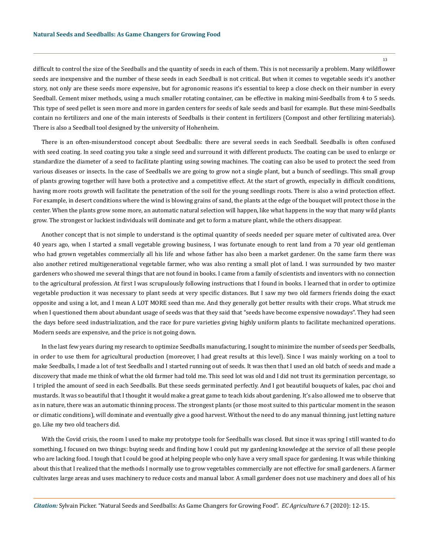13

difficult to control the size of the Seedballs and the quantity of seeds in each of them. This is not necessarily a problem. Many wildflower seeds are inexpensive and the number of these seeds in each Seedball is not critical. But when it comes to vegetable seeds it's another story, not only are these seeds more expensive, but for agronomic reasons it's essential to keep a close check on their number in every Seedball. Cement mixer methods, using a much smaller rotating container, can be effective in making mini-Seedballs from 4 to 5 seeds. This type of seed pellet is seen more and more in garden centers for seeds of kale seeds and basil for example. But these mini-Seedballs contain no fertilizers and one of the main interests of Seedballs is their content in fertilizers (Compost and other fertilizing materials). There is also a Seedball tool designed by the university of Hohenheim.

There is an often-misunderstood concept about Seedballs: there are several seeds in each Seedball. Seedballs is often confused with seed coating. In seed coating you take a single seed and surround it with different products. The coating can be used to enlarge or standardize the diameter of a seed to facilitate planting using sowing machines. The coating can also be used to protect the seed from various diseases or insects. In the case of Seedballs we are going to grow not a single plant, but a bunch of seedlings. This small group of plants growing together will have both a protective and a competitive effect. At the start of growth, especially in difficult conditions, having more roots growth will facilitate the penetration of the soil for the young seedlings roots. There is also a wind protection effect. For example, in desert conditions where the wind is blowing grains of sand, the plants at the edge of the bouquet will protect those in the center. When the plants grow some more, an automatic natural selection will happen, like what happens in the way that many wild plants grow. The strongest or luckiest individuals will dominate and get to form a mature plant, while the others disappear.

Another concept that is not simple to understand is the optimal quantity of seeds needed per square meter of cultivated area. Over 40 years ago, when I started a small vegetable growing business, I was fortunate enough to rent land from a 70 year old gentleman who had grown vegetables commercially all his life and whose father has also been a market gardener. On the same farm there was also another retired multigenerational vegetable farmer, who was also renting a small plot of land. I was surrounded by two master gardeners who showed me several things that are not found in books. I came from a family of scientists and inventors with no connection to the agricultural profession. At first I was scrupulously following instructions that I found in books. I learned that in order to optimize vegetable production it was necessary to plant seeds at very specific distances. But I saw my two old farmers friends doing the exact opposite and using a lot, and I mean A LOT MORE seed than me. And they generally got better results with their crops. What struck me when I questioned them about abundant usage of seeds was that they said that "seeds have become expensive nowadays". They had seen the days before seed industrialization, and the race for pure varieties giving highly uniform plants to facilitate mechanized operations. Modern seeds are expensive, and the price is not going down.

In the last few years during my research to optimize Seedballs manufacturing, I sought to minimize the number of seeds per Seedballs, in order to use them for agricultural production (moreover, I had great results at this level). Since I was mainly working on a tool to make Seedballs, I made a lot of test Seedballs and I started running out of seeds. It was then that I used an old batch of seeds and made a discovery that made me think of what the old farmer had told me. This seed lot was old and I did not trust its germination percentage, so I tripled the amount of seed in each Seedballs. But these seeds germinated perfectly. And I got beautiful bouquets of kales, pac choi and mustards. It was so beautiful that I thought it would make a great game to teach kids about gardening. It's also allowed me to observe that as in nature, there was an automatic thinning process. The strongest plants (or those most suited to this particular moment in the season or climatic conditions), will dominate and eventually give a good harvest. Without the need to do any manual thinning, just letting nature go. Like my two old teachers did.

With the Covid crisis, the room I used to make my prototype tools for Seedballs was closed. But since it was spring I still wanted to do something, I focused on two things: buying seeds and finding how I could put my gardening knowledge at the service of all these people who are lacking food. I tough that I could be good at helping people who only have a very small space for gardening. It was while thinking about this that I realized that the methods I normally use to grow vegetables commercially are not effective for small gardeners. A farmer cultivates large areas and uses machinery to reduce costs and manual labor. A small gardener does not use machinery and does all of his

*Citation:* Sylvain Picker. "Natural Seeds and Seedballs: As Game Changers for Growing Food". *EC Agriculture* 6.7 (2020): 12-15.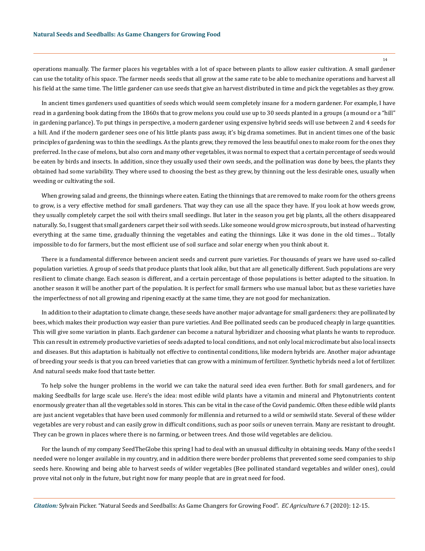operations manually. The farmer places his vegetables with a lot of space between plants to allow easier cultivation. A small gardener can use the totality of his space. The farmer needs seeds that all grow at the same rate to be able to mechanize operations and harvest all his field at the same time. The little gardener can use seeds that give an harvest distributed in time and pick the vegetables as they grow.

In ancient times gardeners used quantities of seeds which would seem completely insane for a modern gardener. For example, I have read in a gardening book dating from the 1860s that to grow melons you could use up to 30 seeds planted in a groups (a mound or a "hill" in gardening parlance). To put things in perspective, a modern gardener using expensive hybrid seeds will use between 2 and 4 seeds for a hill. And if the modern gardener sees one of his little plants pass away, it's big drama sometimes. But in ancient times one of the basic principles of gardening was to thin the seedlings. As the plants grew, they removed the less beautiful ones to make room for the ones they preferred. In the case of melons, but also corn and many other vegetables, it was normal to expect that a certain percentage of seeds would be eaten by birds and insects. In addition, since they usually used their own seeds, and the pollination was done by bees, the plants they obtained had some variability. They where used to choosing the best as they grew, by thinning out the less desirable ones, usually when weeding or cultivating the soil.

When growing salad and greens, the thinnings where eaten. Eating the thinnings that are removed to make room for the others greens to grow, is a very effective method for small gardeners. That way they can use all the space they have. If you look at how weeds grow, they usually completely carpet the soil with theirs small seedlings. But later in the season you get big plants, all the others disappeared naturally. So, I suggest that small gardeners carpet their soil with seeds. Like someone would grow micro sprouts, but instead of harvesting everything at the same time, gradually thinning the vegetables and eating the thinnings. Like it was done in the old times… Totally impossible to do for farmers, but the most efficient use of soil surface and solar energy when you think about it.

There is a fundamental difference between ancient seeds and current pure varieties. For thousands of years we have used so-called population varieties. A group of seeds that produce plants that look alike, but that are all genetically different. Such populations are very resilient to climate change. Each season is different, and a certain percentage of those populations is better adapted to the situation. In another season it will be another part of the population. It is perfect for small farmers who use manual labor, but as these varieties have the imperfectness of not all growing and ripening exactly at the same time, they are not good for mechanization.

In addition to their adaptation to climate change, these seeds have another major advantage for small gardeners: they are pollinated by bees, which makes their production way easier than pure varieties. And Bee pollinated seeds can be produced cheaply in large quantities. This will give some variation in plants. Each gardener can become a natural hybridizer and choosing what plants he wants to reproduce. This can result in extremely productive varieties of seeds adapted to local conditions, and not only local microclimate but also local insects and diseases. But this adaptation is habitually not effective to continental conditions, like modern hybrids are. Another major advantage of breeding your seeds is that you can breed varieties that can grow with a minimum of fertilizer. Synthetic hybrids need a lot of fertilizer. And natural seeds make food that taste better.

To help solve the hunger problems in the world we can take the natural seed idea even further. Both for small gardeners, and for making Seedballs for large scale use. Here's the idea: most edible wild plants have a vitamin and mineral and Phytonutrients content enormously greater than all the vegetables sold in stores. This can be vital in the case of the Covid pandemic. Often these edible wild plants are just ancient vegetables that have been used commonly for millennia and returned to a wild or semiwild state. Several of these wilder vegetables are very robust and can easily grow in difficult conditions, such as poor soils or uneven terrain. Many are resistant to drought. They can be grown in places where there is no farming, or between trees. And those wild vegetables are deliciou.

For the launch of my company SeedTheGlobe this spring I had to deal with an unusual difficulty in obtaining seeds. Many of the seeds I needed were no longer available in my country, and in addition there were border problems that prevented some seed companies to ship seeds here. Knowing and being able to harvest seeds of wilder vegetables (Bee pollinated standard vegetables and wilder ones), could prove vital not only in the future, but right now for many people that are in great need for food.

*Citation:* Sylvain Picker. "Natural Seeds and Seedballs: As Game Changers for Growing Food". *EC Agriculture* 6.7 (2020): 12-15.

14